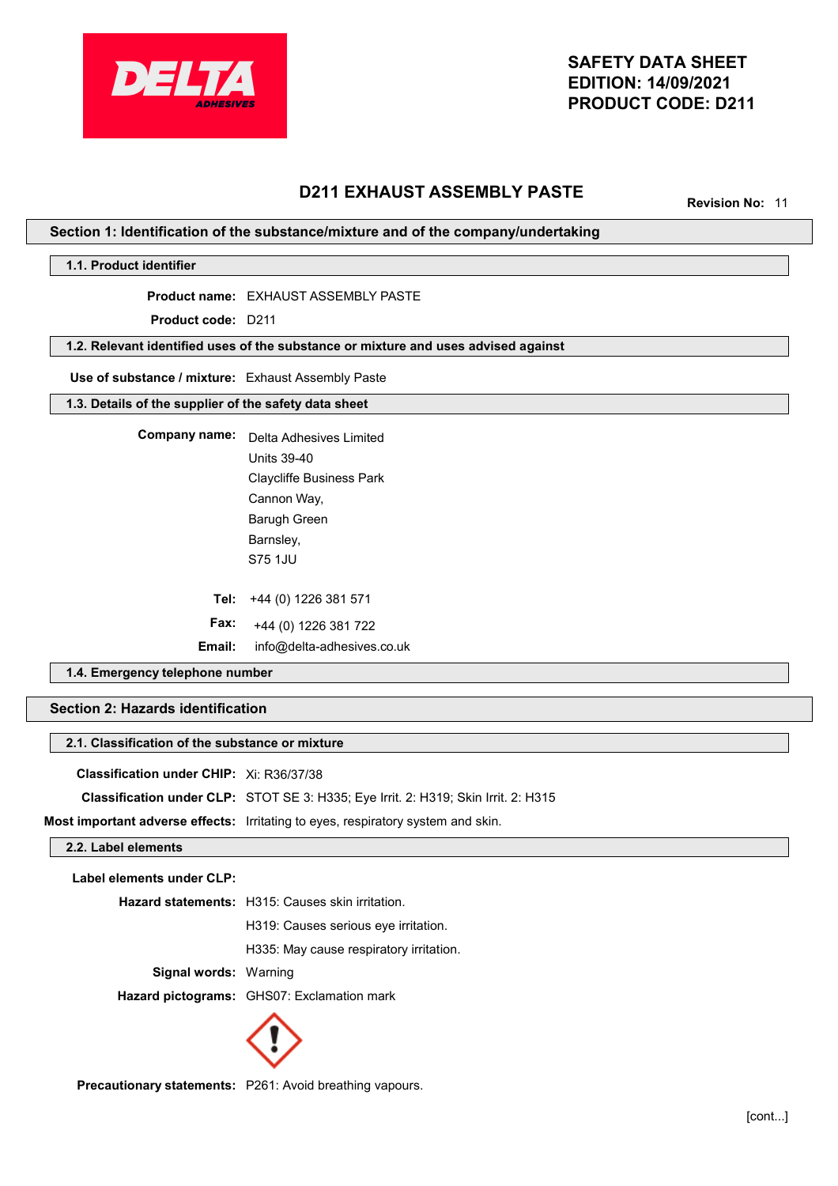

# **D211 EXHAUST ASSEMBLY PASTE**

**Revision No:** 11

## **Section 1: Identification of the substance/mixture and of the company/undertaking**

**1.1. Product identifier**

**Product name:** EXHAUST ASSEMBLY PASTE

**Product code:** D211

## **1.2. Relevant identified uses of the substance or mixture and uses advised against**

#### **Use of substance / mixture:** Exhaust Assembly Paste

## **1.3. Details of the supplier of the safety data sheet**

**Company name:** Delta Adhesives Limited **Tel:** +44 (0) 1226 381 571 **Fax:** Units 39-40 Cannon Way, Barugh Green Barnsley, S75 1JU Claycliffe Business Park

+44 (0) 1226 381 722

**Email:** info@delta-adhesives.co.uk

## **1.4. Emergency telephone number**

## **Section 2: Hazards identification**

#### **2.1. Classification of the substance or mixture**

| <b>Classification under CHIP:</b> Xi: R36/37/38 |  |
|-------------------------------------------------|--|
|-------------------------------------------------|--|

**Classification under CLP:** STOT SE 3: H335; Eye Irrit. 2: H319; Skin Irrit. 2: H315

**Most important adverse effects:** Irritating to eyes, respiratory system and skin.

#### **2.2. Label elements**

**Label elements under CLP:**

|                              | <b>Hazard statements:</b> H315: Causes skin irritation. |
|------------------------------|---------------------------------------------------------|
|                              | H319: Causes serious eye irritation.                    |
|                              | H335: May cause respiratory irritation.                 |
| <b>Signal words: Warning</b> |                                                         |
|                              | Hazard pictograms: GHS07: Exclamation mark              |
|                              |                                                         |



**Precautionary statements:** P261: Avoid breathing vapours.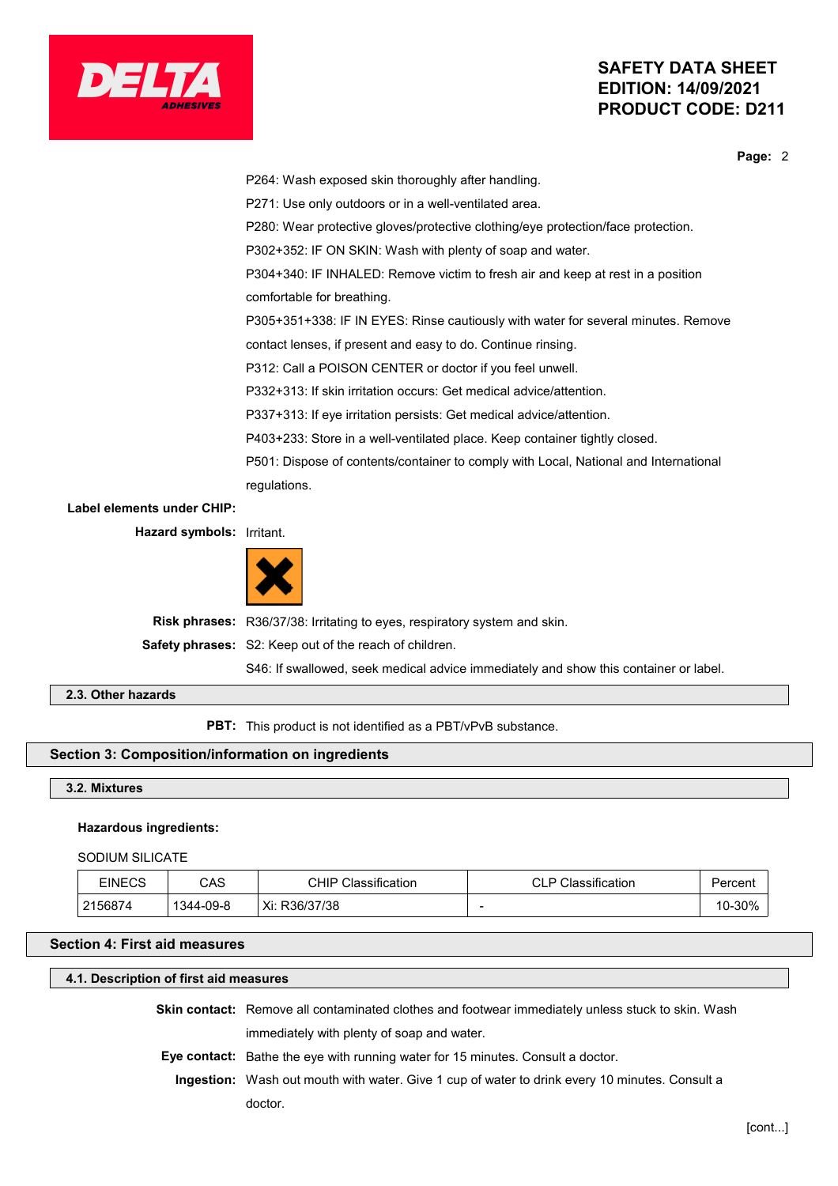



**Page:** 2

P264: Wash exposed skin thoroughly after handling. P271: Use only outdoors or in a well-ventilated area. P280: Wear protective gloves/protective clothing/eye protection/face protection. P302+352: IF ON SKIN: Wash with plenty of soap and water. P304+340: IF INHALED: Remove victim to fresh air and keep at rest in a position comfortable for breathing. P305+351+338: IF IN EYES: Rinse cautiously with water for several minutes. Remove contact lenses, if present and easy to do. Continue rinsing. P312: Call a POISON CENTER or doctor if you feel unwell. P332+313: If skin irritation occurs: Get medical advice/attention. P337+313: If eye irritation persists: Get medical advice/attention. P403+233: Store in a well-ventilated place. Keep container tightly closed. P501: Dispose of contents/container to comply with Local, National and International regulations. **Label elements under CHIP: Hazard symbols:** Irritant.



**Risk phrases:** R36/37/38: Irritating to eyes, respiratory system and skin. **Safety phrases:** S2: Keep out of the reach of children. S46: If swallowed, seek medical advice immediately and show this container or label.

**2.3. Other hazards**

**PBT:** This product is not identified as a PBT/vPvB substance.

## **Section 3: Composition/information on ingredients**

**3.2. Mixtures**

#### **Hazardous ingredients:**

SODIUM SILICATE

| EINECS  | CAS       | CHIP<br>Classification | Classification<br>D<br>◡∟ | ⊵ercent |
|---------|-----------|------------------------|---------------------------|---------|
| 2156874 | 1344-09-8 | Xi:<br>R36/37/38       |                           | 10-30%  |

### **Section 4: First aid measures**

## **4.1. Description of first aid measures**

**Skin contact:** Remove all contaminated clothes and footwear immediately unless stuck to skin. Wash

immediately with plenty of soap and water.

**Eye contact:** Bathe the eye with running water for 15 minutes. Consult a doctor.

**Ingestion:** Wash out mouth with water. Give 1 cup of water to drink every 10 minutes. Consult a doctor.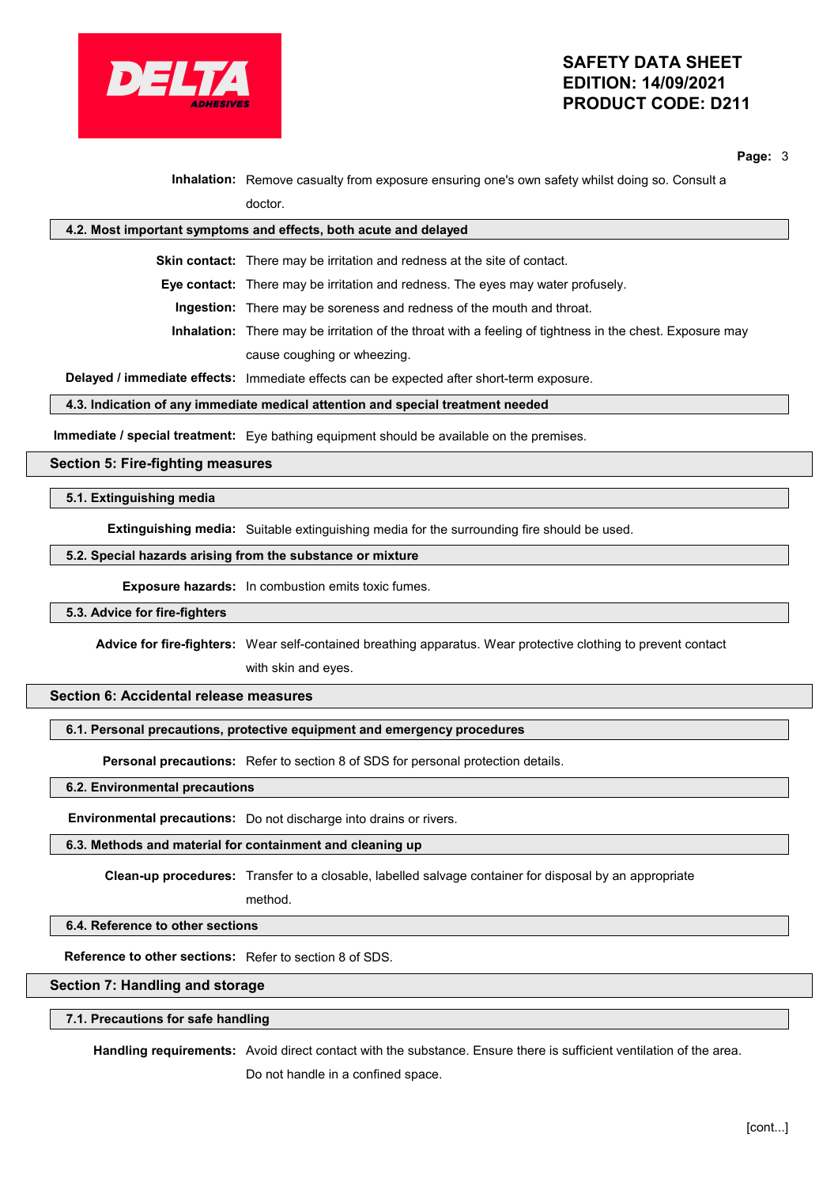

**Page:** 3

**Inhalation:** Remove casualty from exposure ensuring one's own safety whilst doing so. Consult a doctor.

# **4.2. Most important symptoms and effects, both acute and delayed**

**Skin contact:** There may be irritation and redness at the site of contact.

**Eye contact:** There may be irritation and redness. The eyes may water profusely.

**Ingestion:** There may be soreness and redness of the mouth and throat.

**Inhalation:** There may be irritation of the throat with a feeling of tightness in the chest. Exposure may cause coughing or wheezing.

**Delayed / immediate effects:** Immediate effects can be expected after short-term exposure.

#### **4.3. Indication of any immediate medical attention and special treatment needed**

**Immediate / special treatment:** Eye bathing equipment should be available on the premises.

#### **Section 5: Fire-fighting measures**

#### **5.1. Extinguishing media**

**Extinguishing media:** Suitable extinguishing media for the surrounding fire should be used.

#### **5.2. Special hazards arising from the substance or mixture**

**Exposure hazards:** In combustion emits toxic fumes.

#### **5.3. Advice for fire-fighters**

**Advice for fire-fighters:** Wear self-contained breathing apparatus. Wear protective clothing to prevent contact

with skin and eyes.

## **Section 6: Accidental release measures**

### **6.1. Personal precautions, protective equipment and emergency procedures**

**Personal precautions:** Refer to section 8 of SDS for personal protection details.

#### **6.2. Environmental precautions**

**Environmental precautions:** Do not discharge into drains or rivers.

## **6.3. Methods and material for containment and cleaning up**

**Clean-up procedures:** Transfer to a closable, labelled salvage container for disposal by an appropriate

# method.

## **6.4. Reference to other sections**

**Reference to other sections:** Refer to section 8 of SDS.

## **Section 7: Handling and storage**

## **7.1. Precautions for safe handling**

**Handling requirements:** Avoid direct contact with the substance. Ensure there is sufficient ventilation of the area.

Do not handle in a confined space.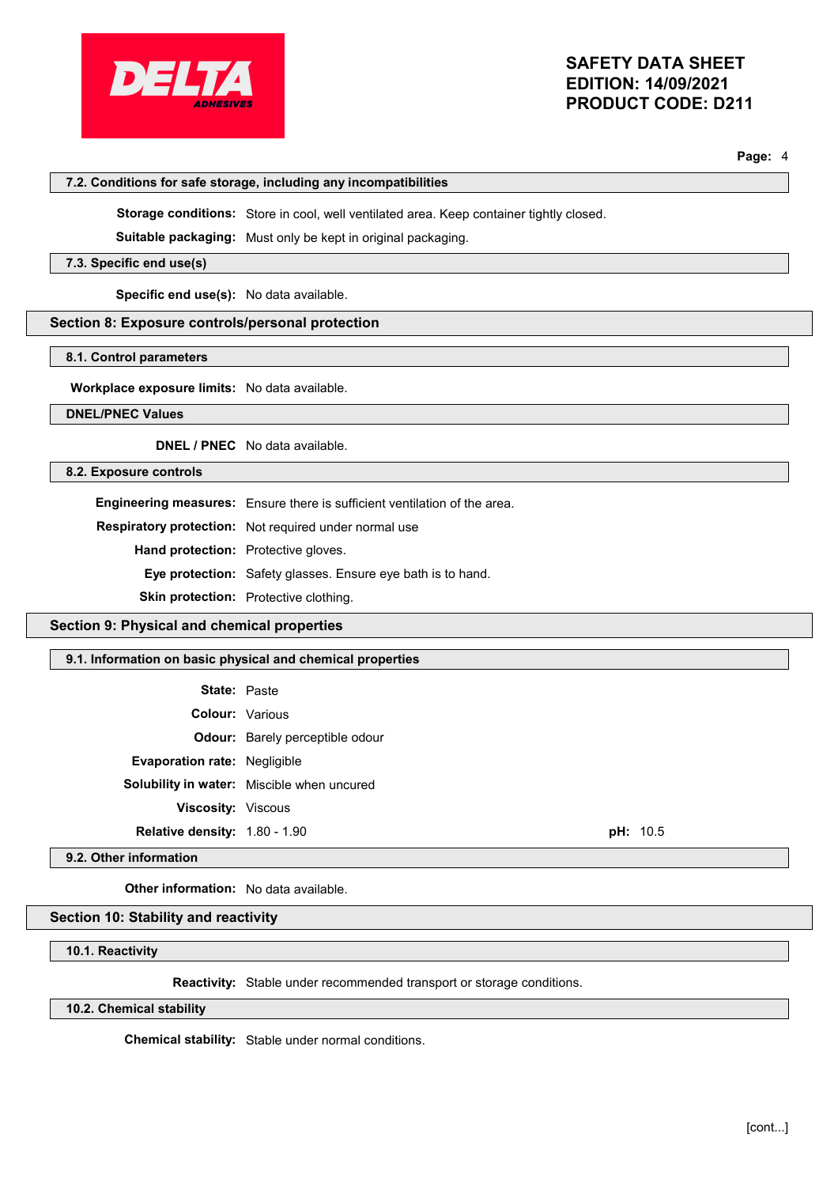

**Page:** 4

| 7.2. Conditions for safe storage, including any incompatibilities |                                                                                                |
|-------------------------------------------------------------------|------------------------------------------------------------------------------------------------|
|                                                                   | <b>Storage conditions:</b> Store in cool, well ventilated area. Keep container tightly closed. |
|                                                                   | <b>Suitable packaging:</b> Must only be kept in original packaging.                            |
| 7.3. Specific end use(s)                                          |                                                                                                |
| <b>Specific end use(s):</b> No data available.                    |                                                                                                |
| Section 8: Exposure controls/personal protection                  |                                                                                                |
|                                                                   |                                                                                                |

## **8.1. Control parameters**

**Workplace exposure limits:** No data available.

## **DNEL/PNEC Values**

**DNEL / PNEC** No data available.

## **8.2. Exposure controls**

**Engineering measures:** Ensure there is sufficient ventilation of the area.

**Respiratory protection:** Not required under normal use

**Hand protection:** Protective gloves.

**Eye protection:** Safety glasses. Ensure eye bath is to hand.

**Skin protection:** Protective clothing.

## **Section 9: Physical and chemical properties**

## **9.1. Information on basic physical and chemical properties**

| <b>State: Paste</b>                 |                                            |          |
|-------------------------------------|--------------------------------------------|----------|
| <b>Colour: Various</b>              |                                            |          |
|                                     | <b>Odour:</b> Barely perceptible odour     |          |
| <b>Evaporation rate: Negligible</b> |                                            |          |
|                                     | Solubility in water: Miscible when uncured |          |
| <b>Viscosity: Viscous</b>           |                                            |          |
| Relative density: 1.80 - 1.90       |                                            | pH: 10.5 |

**9.2. Other information**

**Other information:** No data available.

## **Section 10: Stability and reactivity**

**10.1. Reactivity**

**Reactivity:** Stable under recommended transport or storage conditions.

**10.2. Chemical stability**

**Chemical stability:** Stable under normal conditions.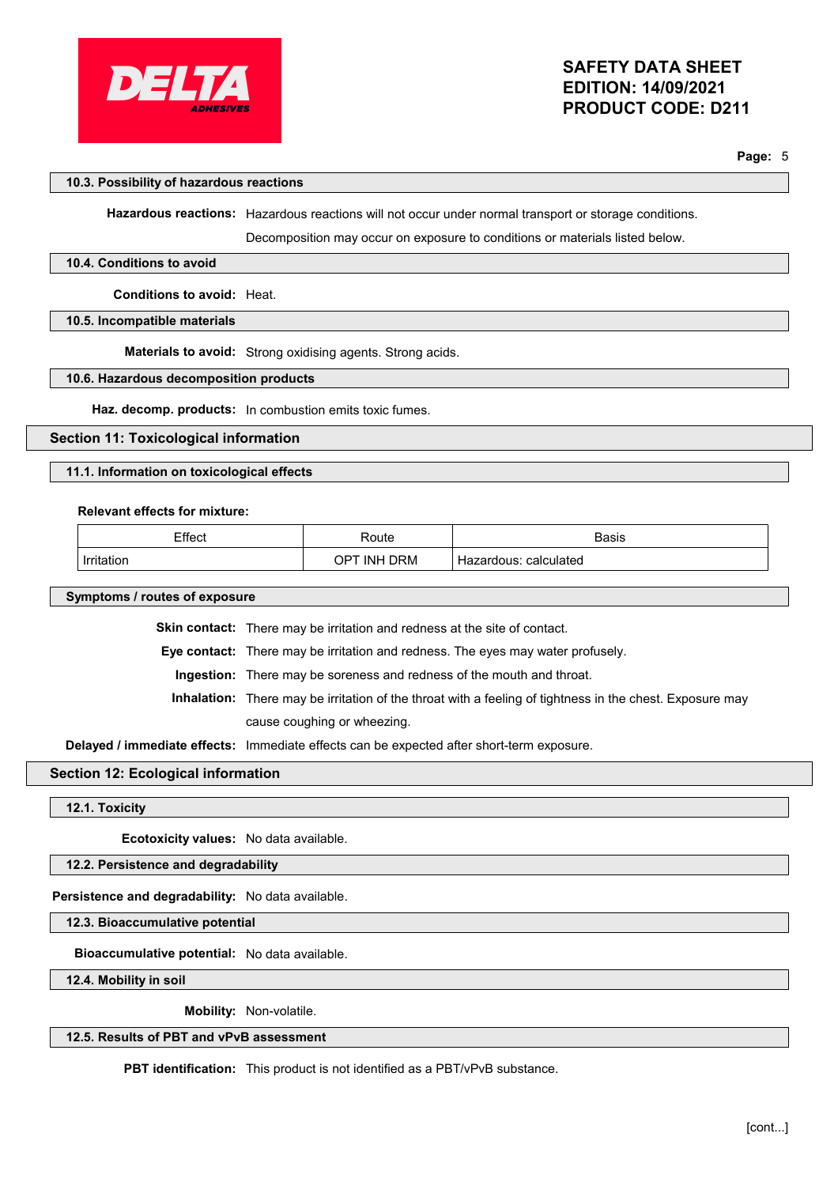

**Page:** 5

## **10.3. Possibility of hazardous reactions**

**Hazardous reactions:** Hazardous reactions will not occur under normal transport or storage conditions.

Decomposition may occur on exposure to conditions or materials listed below.

#### **10.4. Conditions to avoid**

**Conditions to avoid:** Heat.

## **10.5. Incompatible materials**

**Materials to avoid:** Strong oxidising agents. Strong acids.

#### **10.6. Hazardous decomposition products**

**Haz. decomp. products:** In combustion emits toxic fumes.

## **Section 11: Toxicological information**

## **11.1. Information on toxicological effects**

#### **Relevant effects for mixture:**

| Effect     | Route                 | <b>Basis</b>             |
|------------|-----------------------|--------------------------|
| Irritation | <b>INH DRM</b><br>OPT | Hazardous:<br>calculated |

**Symptoms / routes of exposure**

**Skin contact:** There may be irritation and redness at the site of contact.

**Eye contact:** There may be irritation and redness. The eyes may water profusely.

**Ingestion:** There may be soreness and redness of the mouth and throat.

**Inhalation:** There may be irritation of the throat with a feeling of tightness in the chest. Exposure may cause coughing or wheezing.

**Delayed / immediate effects:** Immediate effects can be expected after short-term exposure.

## **Section 12: Ecological information**

**12.1. Toxicity**

**Ecotoxicity values:** No data available.

## **12.2. Persistence and degradability**

**Persistence and degradability:** No data available.

**12.3. Bioaccumulative potential**

**Bioaccumulative potential:** No data available.

**12.4. Mobility in soil**

**Mobility:** Non-volatile.

## **12.5. Results of PBT and vPvB assessment**

**PBT identification:** This product is not identified as a PBT/vPvB substance.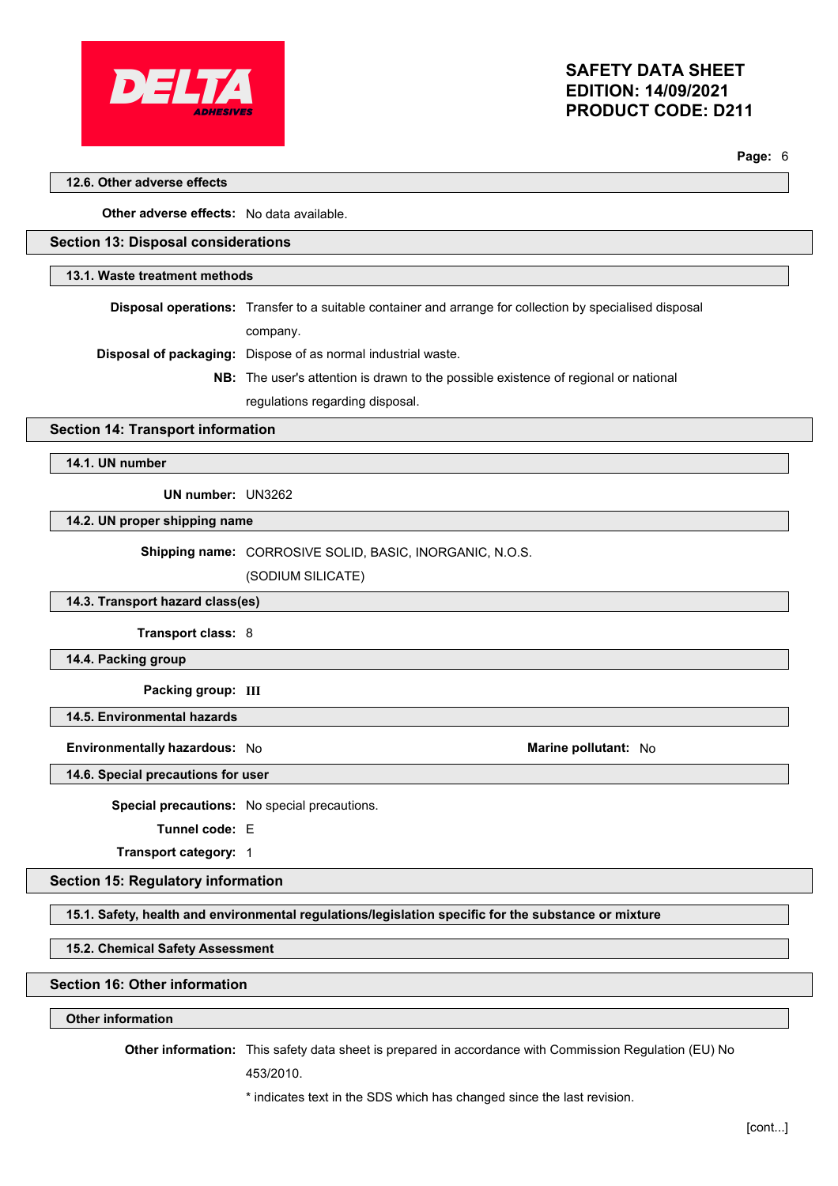

**Page:** 6

## **12.6. Other adverse effects**

**Other adverse effects:** No data available.

## **Section 13: Disposal considerations**

#### **13.1. Waste treatment methods**

**Disposal operations:** Transfer to a suitable container and arrange for collection by specialised disposal company.

**Disposal of packaging:** Dispose of as normal industrial waste.

**NB:** The user's attention is drawn to the possible existence of regional or national

regulations regarding disposal.

## **Section 14: Transport information**

**14.1. UN number**

**UN number:** UN3262

**14.2. UN proper shipping name**

**Shipping name:** CORROSIVE SOLID, BASIC, INORGANIC, N.O.S.

(SODIUM SILICATE)

#### **14.3. Transport hazard class(es)**

**Transport class:** 8

**14.4. Packing group**

**Packing group: III**

**14.5. Environmental hazards**

**Environmentally hazardous:** No **Marine pollutant:** No

**14.6. Special precautions for user**

**Special precautions:** No special precautions.

**Tunnel code:** E

**Transport category:** 1

#### **Section 15: Regulatory information**

**15.1. Safety, health and environmental regulations/legislation specific for the substance or mixture**

**15.2. Chemical Safety Assessment**

## **Section 16: Other information**

## **Other information**

**Other information:** This safety data sheet is prepared in accordance with Commission Regulation (EU) No

453/2010.

\* indicates text in the SDS which has changed since the last revision.